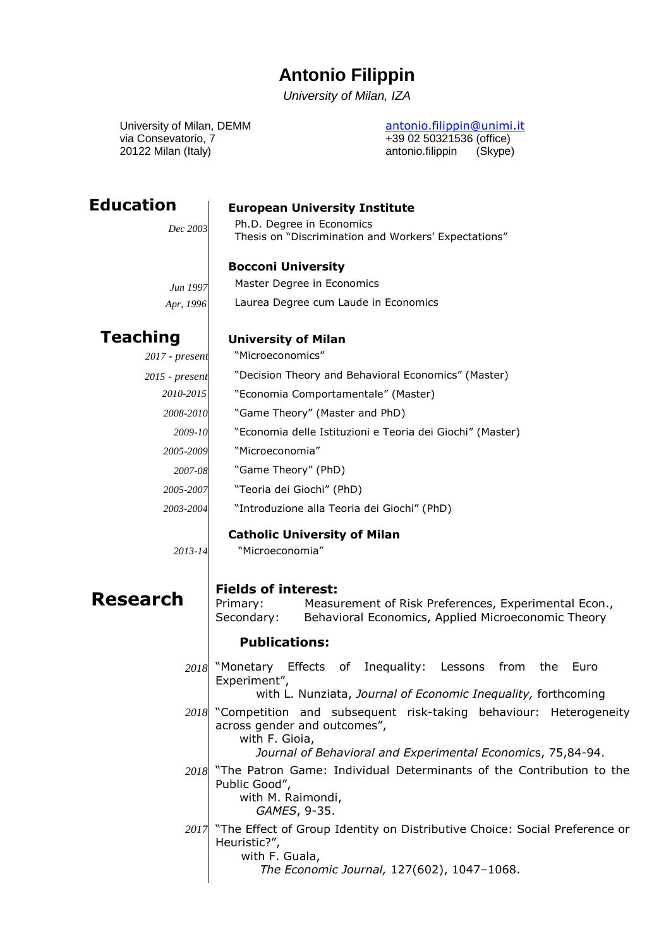# **Antonio Filippin**

*University of Milan, IZA*

via Consevatorio, 7  $+390250321536$  (office) 20122 Milan (Italy) antonio.filippin (Skype)

University of Milan, DEMM [antonio.filippin@unimi.it](mailto:antonio.filippin@unimi.it)

**Education**

#### **European University Institute**

*Dec 2003*

# Ph.D. Degree in Economics

Thesis on "Discrimination and Workers' Expectations"

### **Bocconi University**

*Jun 1997 Apr, 1996*

*2017 - present 2015 - present*

# Laurea Degree cum Laude in Economics

Master Degree in Economics

## **Teaching**

#### **University of Milan**

"Microeconomics"

- "Decision Theory and Behavioral Economics" (Master)
- "Economia Comportamentale" (Master) *2010-2015*
- "Game Theory" (Master and PhD) *2008-2010*
	- "Economia delle Istituzioni e Teoria dei Giochi" (Master) *2009-10*
- "Microeconomia" *2005-2009*
	- "Game Theory" (PhD) *2007-08*
- "Teoria dei Giochi" (PhD) *2005-2007*
- "Introduzione alla Teoria dei Giochi" (PhD) *2003-2004*

#### **Catholic University of Milan**

*2013-14*

## "Microeconomia"

**Research**

#### **Fields of interest:**

Primary: Measurement of Risk Preferences, Experimental Econ., Secondary: Behavioral Economics, Applied Microeconomic Theory

#### **Publications:**

"Monetary Effects of Inequality: Lessons from the Euro Experiment", *2018*

with L. Nunziata, *Journal of Economic Inequality,* forthcoming

"Competition and subsequent risk-taking behaviour: Heterogeneity *2018* across gender and outcomes", with F. Gioia,

*Journal of Behavioral and Experimental Economic*s, 75,84-94.

- "The Patron Game: Individual Determinants of the Contribution to the Public Good", with M. Raimondi, *2018*
	- *GAMES*, 9-35.
- "The Effect of Group Identity on Distributive Choice: Social Preference or Heuristic?", with F. Guala, *2017*
	- *The Economic Journal,* 127(602), 1047–1068.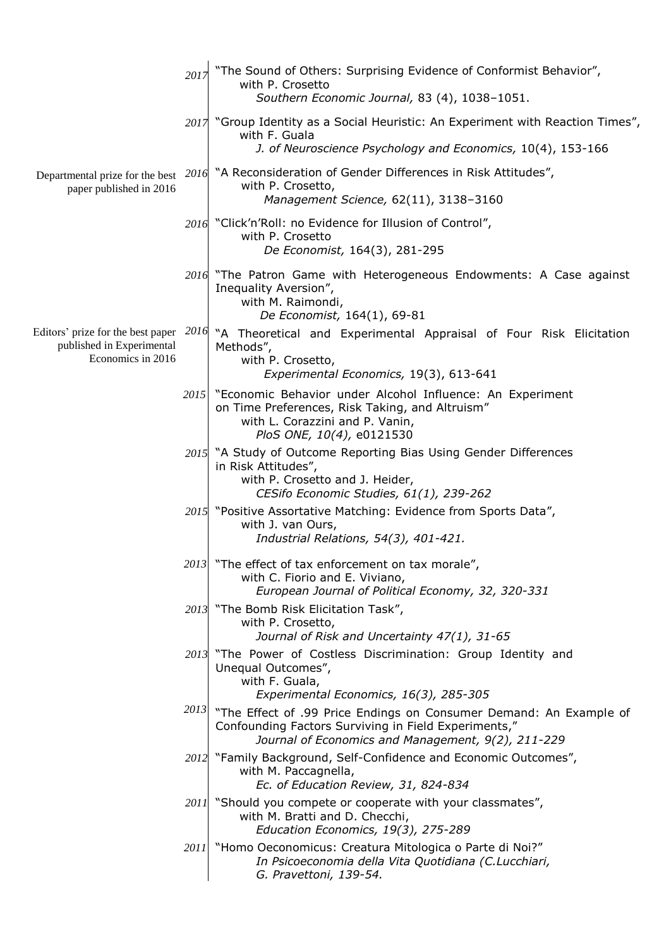|                                                                                            | 2017               | "The Sound of Others: Surprising Evidence of Conformist Behavior",<br>with P. Crosetto<br>Southern Economic Journal, 83 (4), 1038-1051.                                                 |
|--------------------------------------------------------------------------------------------|--------------------|-----------------------------------------------------------------------------------------------------------------------------------------------------------------------------------------|
|                                                                                            |                    | 2017 "Group Identity as a Social Heuristic: An Experiment with Reaction Times",<br>with F. Guala<br>J. of Neuroscience Psychology and Economics, 10(4), 153-166                         |
| Departmental prize for the best<br>paper published in 2016                                 |                    | 2016 "A Reconsideration of Gender Differences in Risk Attitudes",<br>with P. Crosetto,<br>Management Science, 62(11), 3138-3160                                                         |
|                                                                                            |                    | 2016 "Click'n'Roll: no Evidence for Illusion of Control",<br>with P. Crosetto<br>De Economist, 164(3), 281-295                                                                          |
|                                                                                            |                    | 2016 "The Patron Game with Heterogeneous Endowments: A Case against<br>Inequality Aversion",<br>with M. Raimondi,<br>De Economist, 164(1), 69-81                                        |
| Editors' prize for the best paper $2016$<br>published in Experimental<br>Economics in 2016 |                    | "A Theoretical and Experimental Appraisal of Four Risk Elicitation<br>Methods",<br>with P. Crosetto,<br>Experimental Economics, 19(3), 613-641                                          |
|                                                                                            | 2015               | "Economic Behavior under Alcohol Influence: An Experiment<br>on Time Preferences, Risk Taking, and Altruism"<br>with L. Corazzini and P. Vanin,<br>PloS ONE, 10(4), e0121530            |
|                                                                                            |                    | 2015 "A Study of Outcome Reporting Bias Using Gender Differences<br>in Risk Attitudes",<br>with P. Crosetto and J. Heider,<br>CESifo Economic Studies, 61(1), 239-262                   |
|                                                                                            |                    | 2015 "Positive Assortative Matching: Evidence from Sports Data",<br>with J. van Ours,<br>Industrial Relations, 54(3), 401-421.                                                          |
|                                                                                            |                    | 2013 "The effect of tax enforcement on tax morale",<br>with C. Fiorio and E. Viviano,<br>European Journal of Political Economy, 32, 320-331                                             |
|                                                                                            |                    | 2013 "The Bomb Risk Elicitation Task",<br>with P. Crosetto,<br>Journal of Risk and Uncertainty 47(1), 31-65                                                                             |
|                                                                                            |                    | 2013 "The Power of Costless Discrimination: Group Identity and<br>Unequal Outcomes",<br>with F. Guala,<br>Experimental Economics, 16(3), 285-305                                        |
|                                                                                            |                    | $2013$ "The Effect of .99 Price Endings on Consumer Demand: An Example of<br>Confounding Factors Surviving in Field Experiments,"<br>Journal of Economics and Management, 9(2), 211-229 |
|                                                                                            |                    | 2012 "Family Background, Self-Confidence and Economic Outcomes",<br>with M. Paccagnella,<br>Ec. of Education Review, 31, 824-834                                                        |
|                                                                                            |                    | 2011 "Should you compete or cooperate with your classmates",<br>with M. Bratti and D. Checchi,<br>Education Economics, 19(3), 275-289                                                   |
|                                                                                            | 2011 <sup>-1</sup> | "Homo Oeconomicus: Creatura Mitologica o Parte di Noi?"<br>In Psicoeconomia della Vita Quotidiana (C.Lucchiari,<br>G. Pravettoni, 139-54.                                               |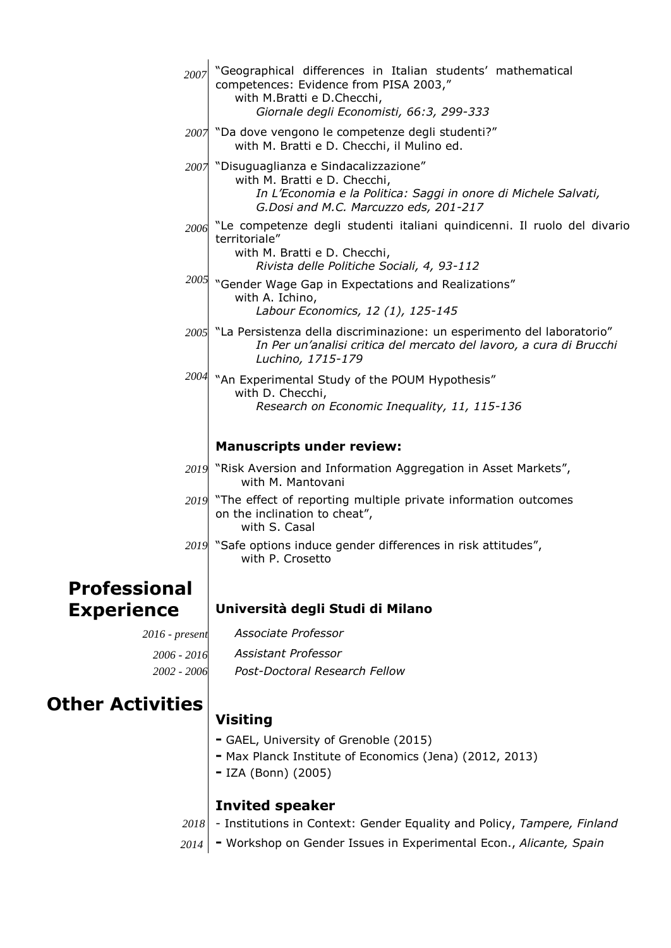| 2007                | "Geographical differences in Italian students' mathematical<br>competences: Evidence from PISA 2003,"<br>with M.Bratti e D.Checchi,<br>Giornale degli Economisti, 66:3, 299-333       |
|---------------------|---------------------------------------------------------------------------------------------------------------------------------------------------------------------------------------|
|                     | 2007 "Da dove vengono le competenze degli studenti?"<br>with M. Bratti e D. Checchi, il Mulino ed.                                                                                    |
|                     | 2007 "Disuguaglianza e Sindacalizzazione"<br>with M. Bratti e D. Checchi,<br>In L'Economia e la Politica: Saggi in onore di Michele Salvati,<br>G.Dosi and M.C. Marcuzzo eds, 201-217 |
| 2006                | "Le competenze degli studenti italiani quindicenni. Il ruolo del divario<br>territoriale"<br>with M. Bratti e D. Checchi,<br>Rivista delle Politiche Sociali, 4, 93-112               |
|                     | $2005$ "Gender Wage Gap in Expectations and Realizations"<br>with A. Ichino,<br>Labour Economics, 12 (1), 125-145                                                                     |
|                     | 2005 "La Persistenza della discriminazione: un esperimento del laboratorio"<br>In Per un'analisi critica del mercato del lavoro, a cura di Brucchi<br>Luchino, 1715-179               |
| 2004                | "An Experimental Study of the POUM Hypothesis"<br>with D. Checchi,<br>Research on Economic Inequality, 11, 115-136                                                                    |
|                     | <b>Manuscripts under review:</b>                                                                                                                                                      |
|                     | 2019 "Risk Aversion and Information Aggregation in Asset Markets",<br>with M. Mantovani                                                                                               |
|                     | 2019 "The effect of reporting multiple private information outcomes<br>on the inclination to cheat",<br>with S. Casal                                                                 |
|                     | 2019 "Safe options induce gender differences in risk attitudes",<br>with P. Crosetto                                                                                                  |
| <b>Professional</b> |                                                                                                                                                                                       |
| <b>Experience</b>   | Università degli Studi di Milano                                                                                                                                                      |
| $2016$ - present    | Associate Professor                                                                                                                                                                   |
| 2006 - 2016         | Assistant Professor                                                                                                                                                                   |
| 2002 - 2006         | Post-Doctoral Research Fellow                                                                                                                                                         |
| ther Activities     | Visiting                                                                                                                                                                              |

- **Other Ad**
- **-** GAEL, University of Grenoble (2015)
- **-** Max Planck Institute of Economics (Jena) (2012, 2013)
- **-** IZA (Bonn) (2005)

#### **Invited speaker**

- 2018 | Institutions in Context: Gender Equality and Policy, *Tampere, Finland*
- **-** Workshop on Gender Issues in Experimental Econ., *Alicante, Spain 2014*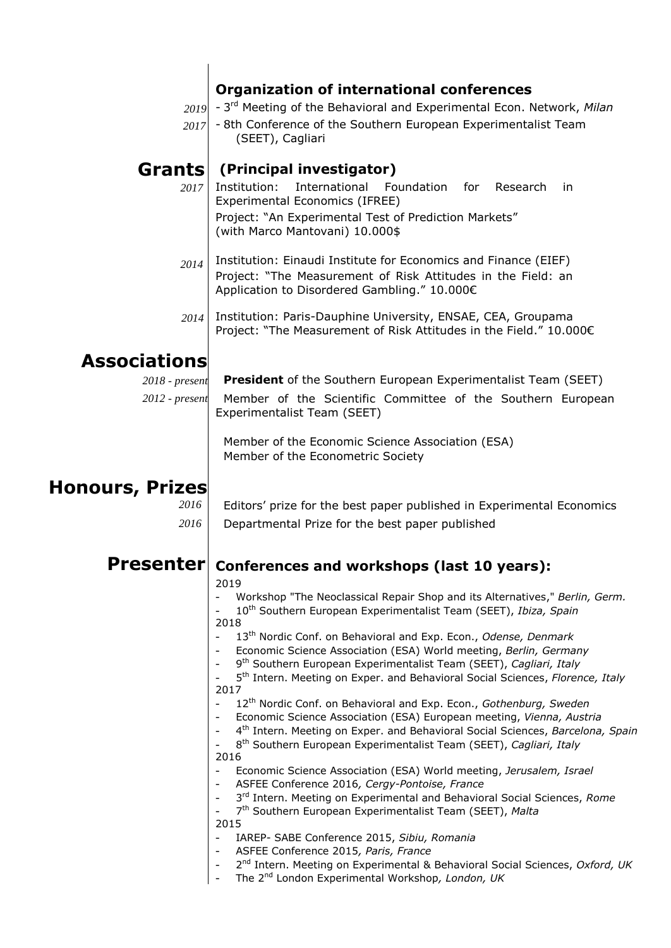### **Organization of international conferences**

- 3 rd Meeting of the Behavioral and Experimental Econ. Network, *Milan 2019*
- 8th Conference of the Southern European Experimentalist Team (SEET), Cagliari *2017*

#### **(Principal investigator) Grants**

- Institution: International Foundation for Research in Experimental Economics (IFREE) Project: "An Experimental Test of Prediction Markets" (with Marco Mantovani) 10.000\$ *2017*
- Institution: Einaudi Institute for Economics and Finance (EIEF) Project: "The Measurement of Risk Attitudes in the Field: an Application to Disordered Gambling." 10.000€ *2014*
- Institution: Paris-Dauphine University, ENSAE, CEA, Groupama Project: "The Measurement of Risk Attitudes in the Field." 10.000€ *2014*

# **Associations**

**President** of the Southern European Experimentalist Team (SEET) Member of the Scientific Committee of the Southern European *2018 - present 2012 - present*

> Experimentalist Team (SEET) Member of the Economic Science Association (ESA)

Member of the Econometric Society

# **Honours, Prizes**

| 2016 | Editors' prize for the best paper published in Experimental Economics |
|------|-----------------------------------------------------------------------|
| 2016 | Departmental Prize for the best paper published                       |

#### **Conferences and workshops (last 10 years): Presenter**

2019

| ---- |                                                                              |
|------|------------------------------------------------------------------------------|
|      | Workshop "The Neoclassical Repair Shop and its Alternatives," Berlin, Germ.  |
|      | 10 <sup>th</sup> Southern European Experimentalist Team (SEET), Ibiza, Spain |

- 2018
- 13 th Nordic Conf. on Behavioral and Exp. Econ., *Odense, Denmark*
- *-* Economic Science Association (ESA) World meeting, *Berlin, Germany*
- 9 th Southern European Experimentalist Team (SEET), *Cagliari, Italy*

*-* 5 th Intern. Meeting on Exper. and Behavioral Social Sciences, *Florence, Italy* 2017

- 12th Nordic Conf. on Behavioral and Exp. Econ., *Gothenburg, Sweden*
- *-* Economic Science Association (ESA) European meeting, *Vienna, Austria*
- *-* 4 th Intern. Meeting on Exper. and Behavioral Social Sciences, *Barcelona, Spain*
- 8 th Southern European Experimentalist Team (SEET), *Cagliari, Italy*
- 2016
	- Economic Science Association (ESA) World meeting, *Jerusalem, Israel*
	- *-* ASFEE Conference 2016*, Cergy-Pontoise, France*
- *-* 3 rd Intern. Meeting on Experimental and Behavioral Social Sciences, *Rome*
- 7 th Southern European Experimentalist Team (SEET), *Malta*
- 2015
	- *-* IAREP- SABE Conference 2015, *Sibiu, Romania*
	- *-* ASFEE Conference 2015*, Paris, France*
- *-* 2 nd Intern. Meeting on Experimental & Behavioral Social Sciences, *Oxford, UK*
- *-* The 2nd London Experimental Workshop*, London, UK*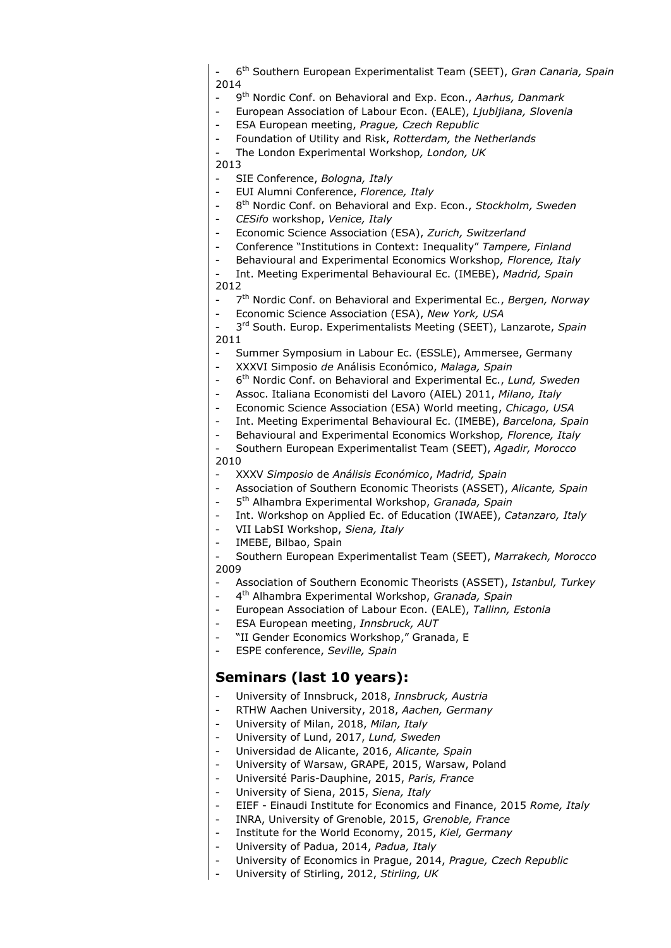- 6 th Southern European Experimentalist Team (SEET), *Gran Canaria, Spain* 2014

- 9 th Nordic Conf. on Behavioral and Exp. Econ., *Aarhus, Danmark*
- European Association of Labour Econ. (EALE), *Ljubljiana, Slovenia*

- ESA European meeting, *Prague, Czech Republic*

*-* Foundation of Utility and Risk, *Rotterdam, the Netherlands*

*-* The London Experimental Workshop*, London, UK*

2013

- *-* SIE Conference, *Bologna, Italy*
- *-* EUI Alumni Conference, *Florence, Italy*
- *-* 8 th Nordic Conf. on Behavioral and Exp. Econ., *Stockholm, Sweden*
- *- CESifo* workshop, *Venice, Italy*
- Economic Science Association (ESA), *Zurich, Switzerland*
- *-* Conference "Institutions in Context: Inequality" *Tampere, Finland*
- Behavioural and Experimental Economics Workshop*, Florence, Italy*
- Int. Meeting Experimental Behavioural Ec. (IMEBE), *Madrid, Spain* 2012
- *-* 7 th Nordic Conf. on Behavioral and Experimental Ec., *Bergen, Norway*
- *-* Economic Science Association (ESA), *New York, USA*
- 3 rd South. Europ. Experimentalists Meeting (SEET), Lanzarote, *Spain* 2011
- Summer Symposium in Labour Ec. (ESSLE), Ammersee, Germany
- XXXVI Simposio *de* Análisis Económico, *Malaga, Spain*
- 6 th Nordic Conf. on Behavioral and Experimental Ec., *Lund, Sweden*
- Assoc. Italiana Economisti del Lavoro (AIEL) 2011, *Milano, Italy*
- Economic Science Association (ESA) World meeting, *Chicago, USA*
- Int. Meeting Experimental Behavioural Ec. (IMEBE), *Barcelona, Spain*
- Behavioural and Experimental Economics Workshop*, Florence, Italy*
- Southern European Experimentalist Team (SEET), *Agadir, Morocco* 2010
- XXXV *Simposio* de *Análisis Económico*, *Madrid, Spain*
- Association of Southern Economic Theorists (ASSET), *Alicante, Spain*
- 5 th Alhambra Experimental Workshop, *Granada, Spain*
- Int. Workshop on Applied Ec. of Education (IWAEE), *Catanzaro, Italy*
- VII LabSI Workshop, *Siena, Italy*
- IMEBE, Bilbao, Spain

- Southern European Experimentalist Team (SEET), *Marrakech, Morocco* 2009

- Association of Southern Economic Theorists (ASSET), *Istanbul, Turkey*
- 4 th Alhambra Experimental Workshop, *Granada, Spain*
- European Association of Labour Econ. (EALE), *Tallinn, Estonia*
- ESA European meeting, *Innsbruck, AUT*
- *-* "II Gender Economics Workshop," Granada, E
- *-* ESPE conference, *Seville, Spain*

#### **Seminars (last 10 years):**

- *-* University of Innsbruck, 2018, *Innsbruck, Austria*
- *-* RTHW Aachen University, 2018, *Aachen, Germany*
- *-* University of Milan, 2018, *Milan, Italy*
- *-* University of Lund, 2017, *Lund, Sweden*
- *-* Universidad de Alicante, 2016, *Alicante, Spain*
- *-* University of Warsaw, GRAPE, 2015, Warsaw, Poland
- *-* Université Paris-Dauphine, 2015, *Paris, France*
- *-* University of Siena, 2015, *Siena, Italy*
- *-* EIEF Einaudi Institute for Economics and Finance, 2015 *Rome, Italy*
- *-* INRA, University of Grenoble, 2015, *Grenoble, France*
- *-* Institute for the World Economy, 2015, *Kiel, Germany*
- *-* University of Padua, 2014, *Padua, Italy*
- *-* University of Economics in Prague, 2014, *Prague, Czech Republic*
- *-* University of Stirling, 2012, *Stirling, UK*